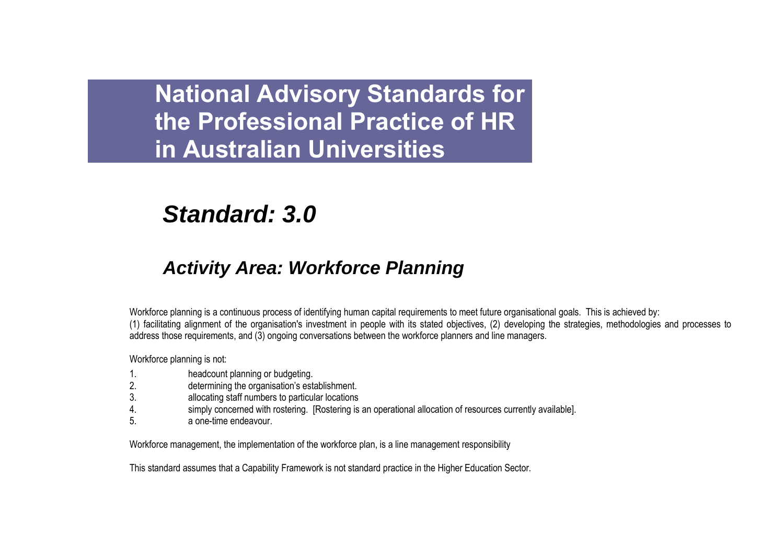# *Standard: 3.0*

## *Activity Area: Workforce Planning*

Workforce planning is a continuous process of identifying human capital requirements to meet future organisational goals. This is achieved by: (1) facilitating alignment of the organisation's investment in people with its stated objectives, (2) developing the strategies, methodologies and processes to address those requirements, and (3) ongoing conversations between the workforce planners and line managers.

Workforce planning is not:

- 1. headcount planning or budgeting.
- 2. determining the organisation"s establishment.
- 3. allocating staff numbers to particular locations
- 4. simply concerned with rostering. [Rostering is an operational allocation of resources currently available].
- 5. a one-time endeavour.

Workforce management, the implementation of the workforce plan, is a line management responsibility

This standard assumes that a Capability Framework is not standard practice in the Higher Education Sector.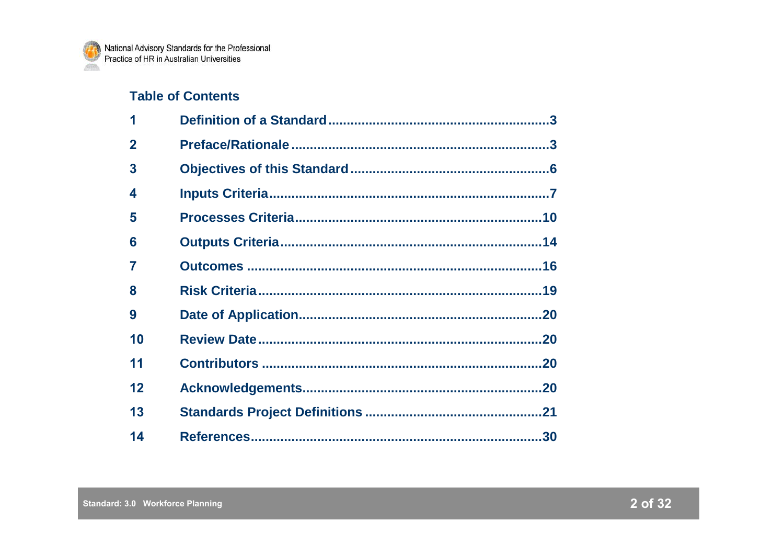## **Table of Contents**

| 1           |  |
|-------------|--|
| $\mathbf 2$ |  |
| 3           |  |
| 4           |  |
| 5           |  |
| 6           |  |
| 7           |  |
| 8           |  |
| 9           |  |
| 10          |  |
| 11          |  |
| 12          |  |
| 13          |  |
| 14          |  |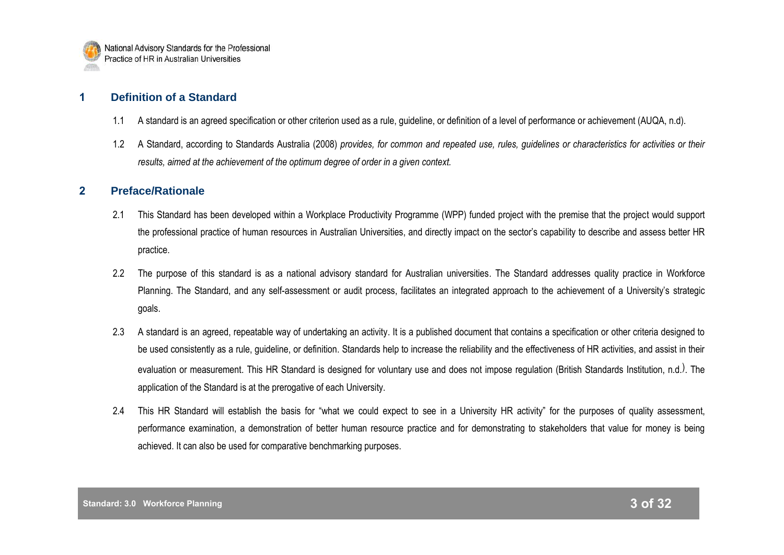

## **1 Definition of a Standard**

- 1.1 A standard is an agreed specification or other criterion used as a rule, guideline, or definition of a level of performance or achievement (AUQA, n.d).
- 1.2 A Standard, according to Standards Australia (2008) *provides, for common and repeated use, rules, guidelines or characteristics for activities or their results, aimed at the achievement of the optimum degree of order in a given context.*

## **2 Preface/Rationale**

- 2.1 This Standard has been developed within a Workplace Productivity Programme (WPP) funded project with the premise that the project would support the professional practice of human resources in Australian Universities, and directly impact on the sector"s capability to describe and assess better HR practice.
- 2.2 The purpose of this standard is as a national advisory standard for Australian universities. The Standard addresses quality practice in Workforce Planning. The Standard, and any self-assessment or audit process, facilitates an integrated approach to the achievement of a University"s strategic goals.
- 2.3 A standard is an agreed, repeatable way of undertaking an activity. It is a published document that contains a specification or other criteria designed to be used consistently as a rule, guideline, or definition. Standards help to increase the reliability and the effectiveness of HR activities, and assist in their evaluation or measurement. This HR Standard is designed for voluntary use and does not impose regulation (British Standards Institution, n.d.). The application of the Standard is at the prerogative of each University.
- 2.4 This HR Standard will establish the basis for "what we could expect to see in a University HR activity" for the purposes of quality assessment, performance examination, a demonstration of better human resource practice and for demonstrating to stakeholders that value for money is being achieved. It can also be used for comparative benchmarking purposes.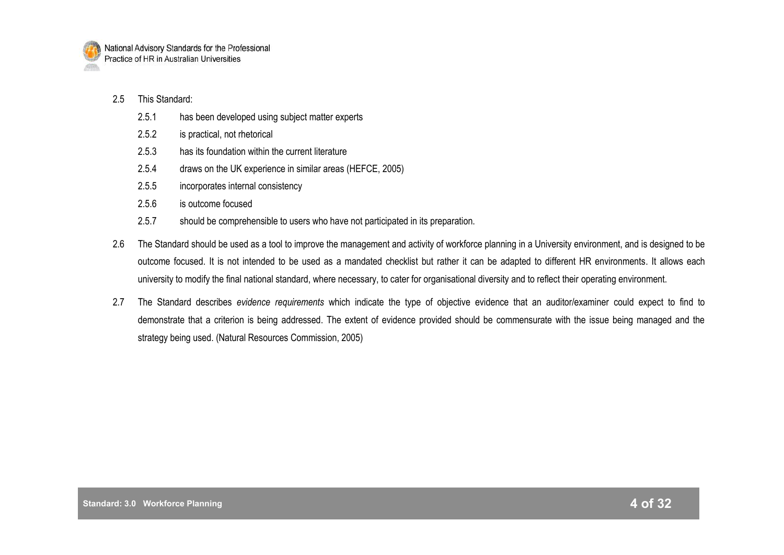

#### 2.5 This Standard:

- 2.5.1 has been developed using subject matter experts
- 2.5.2 is practical, not rhetorical
- 2.5.3 has its foundation within the current literature
- 2.5.4 draws on the UK experience in similar areas (HEFCE, 2005)
- 2.5.5 incorporates internal consistency
- 2.5.6 is outcome focused
- 2.5.7 should be comprehensible to users who have not participated in its preparation.
- 2.6 The Standard should be used as a tool to improve the management and activity of workforce planning in a University environment, and is designed to be outcome focused. It is not intended to be used as a mandated checklist but rather it can be adapted to different HR environments. It allows each university to modify the final national standard, where necessary, to cater for organisational diversity and to reflect their operating environment.
- 2.7 The Standard describes *evidence requirements* which indicate the type of objective evidence that an auditor/examiner could expect to find to demonstrate that a criterion is being addressed. The extent of evidence provided should be commensurate with the issue being managed and the strategy being used. (Natural Resources Commission, 2005)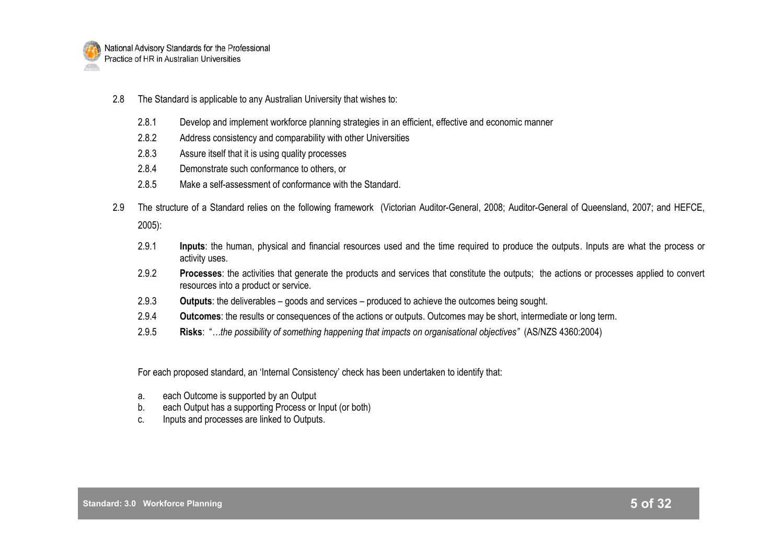

- 2.8 The Standard is applicable to any Australian University that wishes to:
	- 2.8.1 Develop and implement workforce planning strategies in an efficient, effective and economic manner
	- 2.8.2 Address consistency and comparability with other Universities
	- 2.8.3 Assure itself that it is using quality processes
	- 2.8.4 Demonstrate such conformance to others, or
	- 2.8.5 Make a self-assessment of conformance with the Standard.
- 2.9 The structure of a Standard relies on the following framework (Victorian Auditor-General, 2008; Auditor-General of Queensland, 2007; and HEFCE, 2005):
	- 2.9.1 **Inputs**: the human, physical and financial resources used and the time required to produce the outputs. Inputs are what the process or activity uses.
	- 2.9.2 **Processes**: the activities that generate the products and services that constitute the outputs; the actions or processes applied to convert resources into a product or service.
	- 2.9.3 **Outputs**: the deliverables goods and services produced to achieve the outcomes being sought.
	- 2.9.4 **Outcomes**: the results or consequences of the actions or outputs. Outcomes may be short, intermediate or long term.
	- 2.9.5 **Risks**: "*…the possibility of something happening that impacts on organisational objectives"* (AS/NZS 4360:2004)

For each proposed standard, an "Internal Consistency" check has been undertaken to identify that:

- a. each Outcome is supported by an Output
- b. each Output has a supporting Process or Input (or both)
- c. Inputs and processes are linked to Outputs.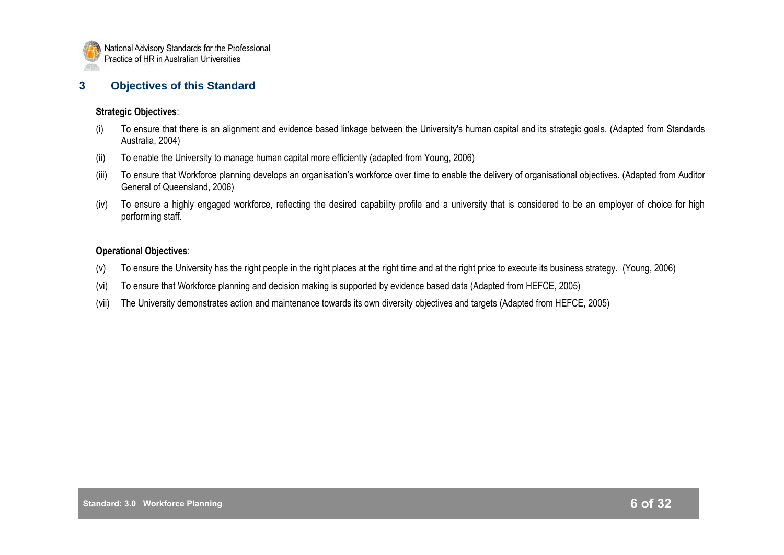

## **3 Objectives of this Standard**

#### **Strategic Objectives**:

- (i) To ensure that there is an alignment and evidence based linkage between the University's human capital and its strategic goals. (Adapted from Standards Australia, 2004)
- (ii) To enable the University to manage human capital more efficiently (adapted from Young, 2006)
- (iii) To ensure that Workforce planning develops an organisation"s workforce over time to enable the delivery of organisational objectives. (Adapted from Auditor General of Queensland, 2006)
- (iv) To ensure a highly engaged workforce, reflecting the desired capability profile and a university that is considered to be an employer of choice for high performing staff.

## **Operational Objectives**:

- (v) To ensure the University has the right people in the right places at the right time and at the right price to execute its business strategy. (Young, 2006)
- (vi) To ensure that Workforce planning and decision making is supported by evidence based data (Adapted from HEFCE, 2005)
- (vii) The University demonstrates action and maintenance towards its own diversity objectives and targets (Adapted from HEFCE, 2005)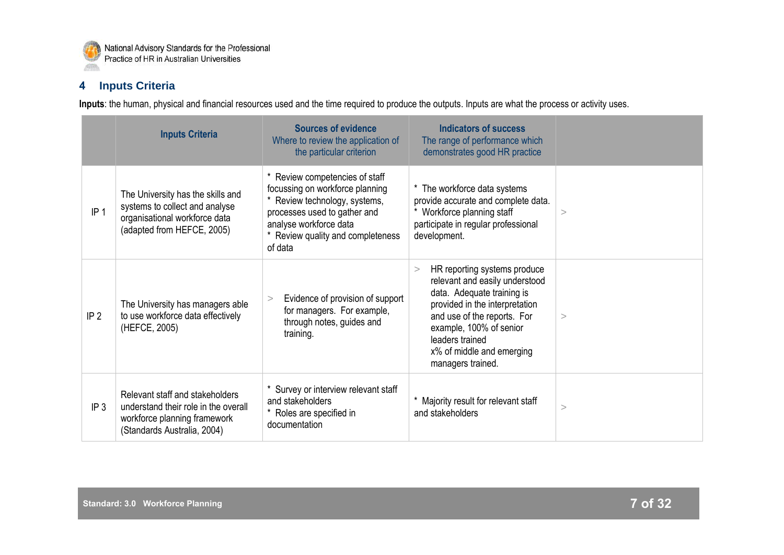

## **4 Inputs Criteria**

**Inputs**: the human, physical and financial resources used and the time required to produce the outputs. Inputs are what the process or activity uses.

|                 | <b>Inputs Criteria</b>                                                                                                                 | <b>Sources of evidence</b><br>Where to review the application of<br>the particular criterion                                                                                                                 | Indicators of success<br>The range of performance which<br>demonstrates good HR practice                                                                                                                                                                           |   |
|-----------------|----------------------------------------------------------------------------------------------------------------------------------------|--------------------------------------------------------------------------------------------------------------------------------------------------------------------------------------------------------------|--------------------------------------------------------------------------------------------------------------------------------------------------------------------------------------------------------------------------------------------------------------------|---|
| IP <sub>1</sub> | The University has the skills and<br>systems to collect and analyse<br>organisational workforce data<br>(adapted from HEFCE, 2005)     | * Review competencies of staff<br>focussing on workforce planning<br>* Review technology, systems,<br>processes used to gather and<br>analyse workforce data<br>* Review quality and completeness<br>of data | * The workforce data systems<br>provide accurate and complete data.<br>* Workforce planning staff<br>participate in regular professional<br>development.                                                                                                           | > |
| IP <sub>2</sub> | The University has managers able<br>to use workforce data effectively<br>(HEFCE, 2005)                                                 | Evidence of provision of support<br>><br>for managers. For example,<br>through notes, guides and<br>training.                                                                                                | HR reporting systems produce<br>><br>relevant and easily understood<br>data. Adequate training is<br>provided in the interpretation<br>and use of the reports. For<br>example, 100% of senior<br>leaders trained<br>x% of middle and emerging<br>managers trained. | > |
| IP <sub>3</sub> | Relevant staff and stakeholders<br>understand their role in the overall<br>workforce planning framework<br>(Standards Australia, 2004) | Survey or interview relevant staff<br>and stakeholders<br>* Roles are specified in<br>documentation                                                                                                          | * Majority result for relevant staff<br>and stakeholders                                                                                                                                                                                                           | > |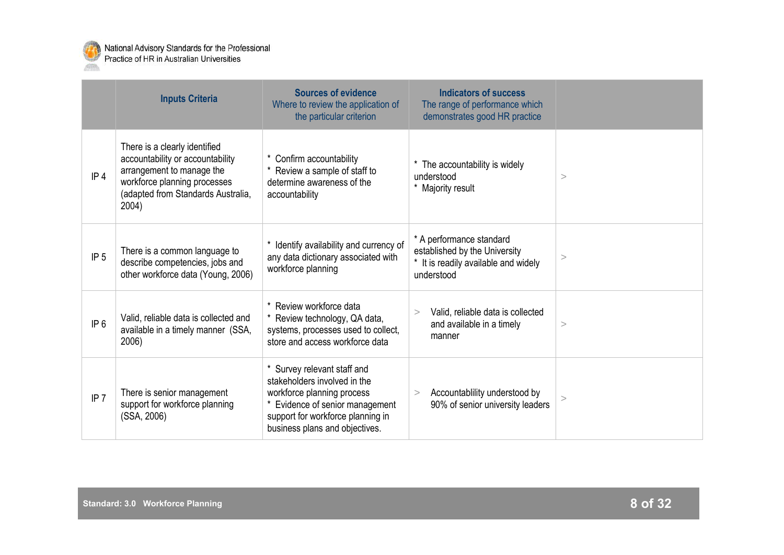

|                 | <b>Inputs Criteria</b>                                                                                                                                                        | <b>Sources of evidence</b><br>Where to review the application of<br>the particular criterion                                                                                                               | <b>Indicators of success</b><br>The range of performance which<br>demonstrates good HR practice                             |       |
|-----------------|-------------------------------------------------------------------------------------------------------------------------------------------------------------------------------|------------------------------------------------------------------------------------------------------------------------------------------------------------------------------------------------------------|-----------------------------------------------------------------------------------------------------------------------------|-------|
| IP <sub>4</sub> | There is a clearly identified<br>accountability or accountability<br>arrangement to manage the<br>workforce planning processes<br>(adapted from Standards Australia,<br>2004) | * Confirm accountability<br>* Review a sample of staff to<br>determine awareness of the<br>accountability                                                                                                  | * The accountability is widely<br>understood<br>* Majority result                                                           | >     |
| IP <sub>5</sub> | There is a common language to<br>describe competencies, jobs and<br>other workforce data (Young, 2006)                                                                        | Identify availability and currency of<br>any data dictionary associated with<br>workforce planning                                                                                                         | * A performance standard<br>established by the University<br>$^{\star}$<br>It is readily available and widely<br>understood | $\,>$ |
| IP 6            | Valid, reliable data is collected and<br>available in a timely manner (SSA,<br>2006)                                                                                          | Review workforce data<br>* Review technology, QA data,<br>systems, processes used to collect,<br>store and access workforce data                                                                           | Valid, reliable data is collected<br>><br>and available in a timely<br>manner                                               | >     |
| IP <sub>7</sub> | There is senior management<br>support for workforce planning<br>(SSA, 2006)                                                                                                   | Survey relevant staff and<br>$\star$<br>stakeholders involved in the<br>workforce planning process<br>Evidence of senior management<br>support for workforce planning in<br>business plans and objectives. | Accountablility understood by<br>$\geq$<br>90% of senior university leaders                                                 | >     |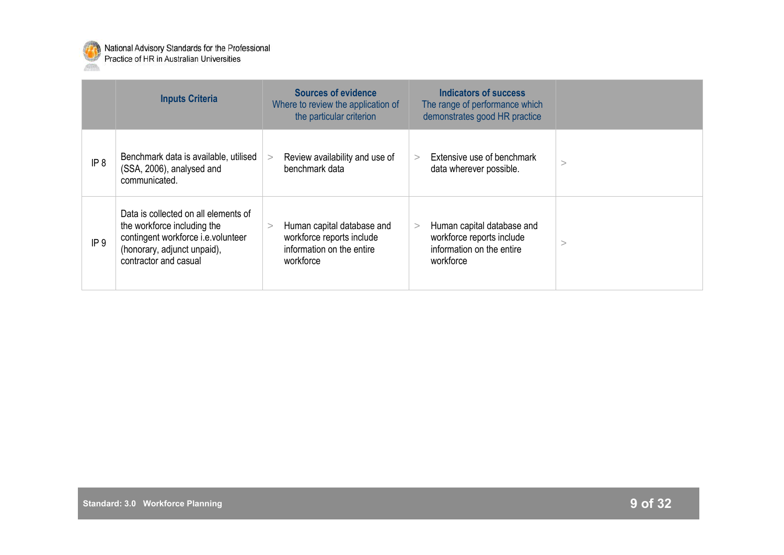

|                 | <b>Inputs Criteria</b>                                                                                                                                            | <b>Sources of evidence</b><br>Where to review the application of<br>the particular criterion      | Indicators of success<br>The range of performance which<br>demonstrates good HR practice               |  |
|-----------------|-------------------------------------------------------------------------------------------------------------------------------------------------------------------|---------------------------------------------------------------------------------------------------|--------------------------------------------------------------------------------------------------------|--|
| IP <sub>8</sub> | Benchmark data is available, utilised<br>(SSA, 2006), analysed and<br>communicated.                                                                               | Review availability and use of<br>benchmark data                                                  | Extensive use of benchmark<br>data wherever possible.                                                  |  |
| IP <sub>9</sub> | Data is collected on all elements of<br>the workforce including the<br>contingent workforce i.e.volunteer<br>(honorary, adjunct unpaid),<br>contractor and casual | Human capital database and<br>workforce reports include<br>information on the entire<br>workforce | Human capital database and<br>><br>workforce reports include<br>information on the entire<br>workforce |  |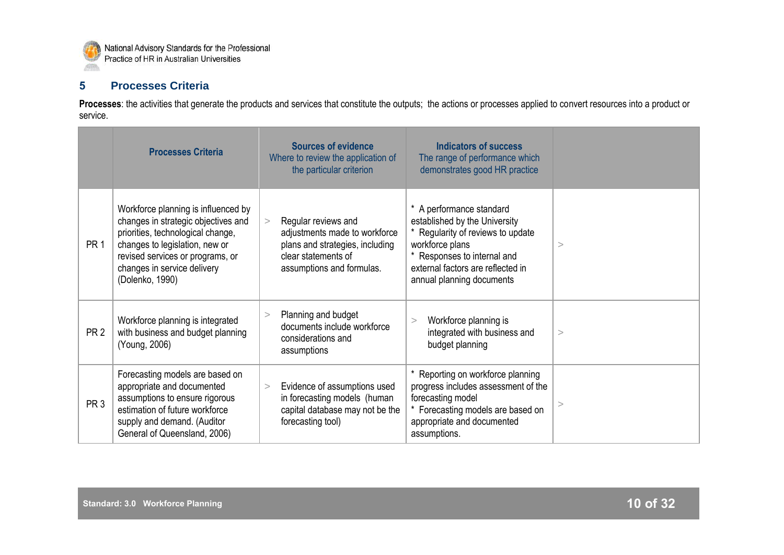

## **5 Processes Criteria**

Processes: the activities that generate the products and services that constitute the outputs; the actions or processes applied to convert resources into a product or service.

|                 | <b>Processes Criteria</b>                                                                                                                                                                                                               | <b>Sources of evidence</b><br>Where to review the application of<br>the particular criterion                                                | Indicators of success<br>The range of performance which<br>demonstrates good HR practice                                                                                                                           |          |
|-----------------|-----------------------------------------------------------------------------------------------------------------------------------------------------------------------------------------------------------------------------------------|---------------------------------------------------------------------------------------------------------------------------------------------|--------------------------------------------------------------------------------------------------------------------------------------------------------------------------------------------------------------------|----------|
| PR <sub>1</sub> | Workforce planning is influenced by<br>changes in strategic objectives and<br>priorities, technological change,<br>changes to legislation, new or<br>revised services or programs, or<br>changes in service delivery<br>(Dolenko, 1990) | Regular reviews and<br>adjustments made to workforce<br>plans and strategies, including<br>clear statements of<br>assumptions and formulas. | * A performance standard<br>established by the University<br>* Regularity of reviews to update<br>workforce plans<br>* Responses to internal and<br>external factors are reflected in<br>annual planning documents | $\rm{>}$ |
| PR <sub>2</sub> | Workforce planning is integrated<br>with business and budget planning<br>(Young, 2006)                                                                                                                                                  | Planning and budget<br>><br>documents include workforce<br>considerations and<br>assumptions                                                | Workforce planning is<br>$\geq$<br>integrated with business and<br>budget planning                                                                                                                                 | >        |
| PR <sub>3</sub> | Forecasting models are based on<br>appropriate and documented<br>assumptions to ensure rigorous<br>estimation of future workforce<br>supply and demand. (Auditor<br>General of Queensland, 2006)                                        | Evidence of assumptions used<br>><br>in forecasting models (human<br>capital database may not be the<br>forecasting tool)                   | * Reporting on workforce planning<br>progress includes assessment of the<br>forecasting model<br>* Forecasting models are based on<br>appropriate and documented<br>assumptions.                                   | >        |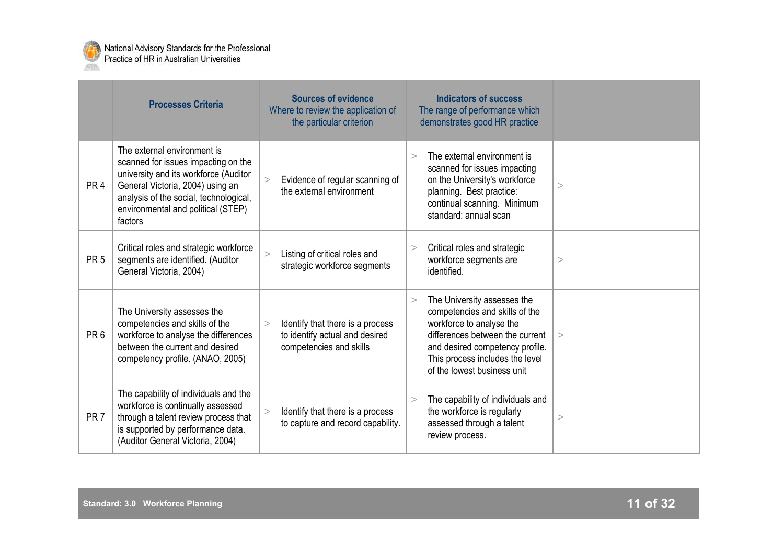

|                 | <b>Processes Criteria</b>                                                                                                                                                                                                                  | <b>Sources of evidence</b><br>Where to review the application of<br>the particular criterion            | <b>Indicators of success</b><br>The range of performance which<br>demonstrates good HR practice                                                                                                                                             |   |
|-----------------|--------------------------------------------------------------------------------------------------------------------------------------------------------------------------------------------------------------------------------------------|---------------------------------------------------------------------------------------------------------|---------------------------------------------------------------------------------------------------------------------------------------------------------------------------------------------------------------------------------------------|---|
| PR <sub>4</sub> | The external environment is<br>scanned for issues impacting on the<br>university and its workforce (Auditor<br>General Victoria, 2004) using an<br>analysis of the social, technological,<br>environmental and political (STEP)<br>factors | Evidence of regular scanning of<br>the external environment                                             | The external environment is<br>$\geq$<br>scanned for issues impacting<br>on the University's workforce<br>planning. Best practice:<br>continual scanning. Minimum<br>standard: annual scan                                                  | > |
| PR <sub>5</sub> | Critical roles and strategic workforce<br>segments are identified. (Auditor<br>General Victoria, 2004)                                                                                                                                     | Listing of critical roles and<br>$\geq$<br>strategic workforce segments                                 | Critical roles and strategic<br>><br>workforce segments are<br>identified.                                                                                                                                                                  | > |
| PR <sub>6</sub> | The University assesses the<br>competencies and skills of the<br>workforce to analyse the differences<br>between the current and desired<br>competency profile. (ANAO, 2005)                                                               | Identify that there is a process<br>$\geq$<br>to identify actual and desired<br>competencies and skills | The University assesses the<br>$\geq$<br>competencies and skills of the<br>workforce to analyse the<br>differences between the current<br>and desired competency profile.<br>This process includes the level<br>of the lowest business unit | > |
| PR <sub>7</sub> | The capability of individuals and the<br>workforce is continually assessed<br>through a talent review process that<br>is supported by performance data.<br>(Auditor General Victoria, 2004)                                                | Identify that there is a process<br>$\geq$<br>to capture and record capability.                         | The capability of individuals and<br>><br>the workforce is regularly<br>assessed through a talent<br>review process.                                                                                                                        | > |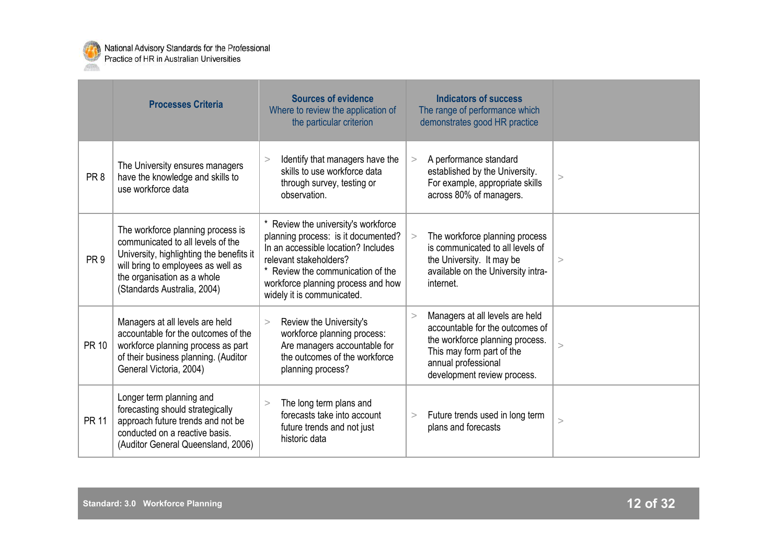

|                 | <b>Processes Criteria</b>                                                                                                                                                                                              | <b>Sources of evidence</b><br>Where to review the application of<br>the particular criterion                                                                                                                                                         | <b>Indicators of success</b><br>The range of performance which<br>demonstrates good HR practice                                                                                                                |
|-----------------|------------------------------------------------------------------------------------------------------------------------------------------------------------------------------------------------------------------------|------------------------------------------------------------------------------------------------------------------------------------------------------------------------------------------------------------------------------------------------------|----------------------------------------------------------------------------------------------------------------------------------------------------------------------------------------------------------------|
| PR <sub>8</sub> | The University ensures managers<br>have the knowledge and skills to<br>use workforce data                                                                                                                              | Identify that managers have the<br>><br>skills to use workforce data<br>through survey, testing or<br>observation.                                                                                                                                   | A performance standard<br>><br>established by the University.<br>$\rm{>}$<br>For example, appropriate skills<br>across 80% of managers.                                                                        |
| PR <sub>9</sub> | The workforce planning process is<br>communicated to all levels of the<br>University, highlighting the benefits it<br>will bring to employees as well as<br>the organisation as a whole<br>(Standards Australia, 2004) | * Review the university's workforce<br>planning process: is it documented?<br>In an accessible location? Includes<br>relevant stakeholders?<br>* Review the communication of the<br>workforce planning process and how<br>widely it is communicated. | The workforce planning process<br>$\geq$<br>is communicated to all levels of<br>the University. It may be<br>$\rm{^>}$<br>available on the University intra-<br>internet.                                      |
| <b>PR 10</b>    | Managers at all levels are held<br>accountable for the outcomes of the<br>workforce planning process as part<br>of their business planning. (Auditor<br>General Victoria, 2004)                                        | Review the University's<br>$\geq$<br>workforce planning process:<br>Are managers accountable for<br>the outcomes of the workforce<br>planning process?                                                                                               | Managers at all levels are held<br>$\geq$<br>accountable for the outcomes of<br>the workforce planning process.<br>$\rm{>}$<br>This may form part of the<br>annual professional<br>development review process. |
| <b>PR 11</b>    | Longer term planning and<br>forecasting should strategically<br>approach future trends and not be<br>conducted on a reactive basis.<br>(Auditor General Queensland, 2006)                                              | The long term plans and<br>$\geq$<br>forecasts take into account<br>future trends and not just<br>historic data                                                                                                                                      | Future trends used in long term<br>><br>$\rm{>}$<br>plans and forecasts                                                                                                                                        |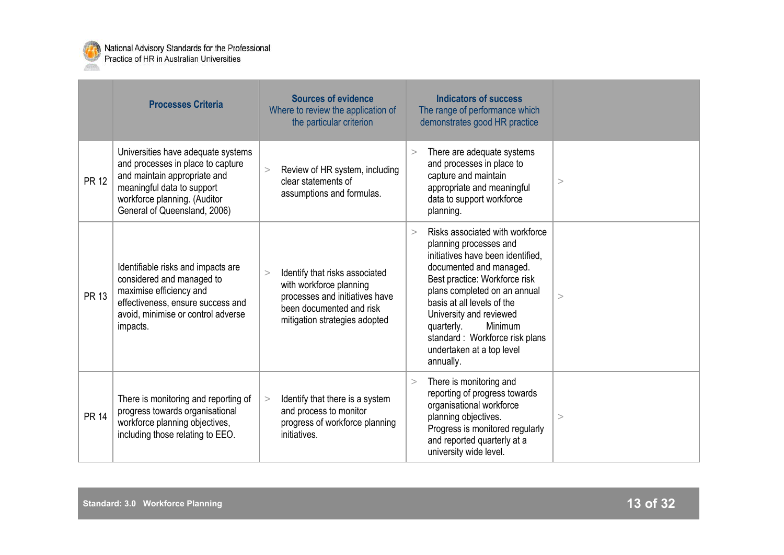

|              | <b>Processes Criteria</b>                                                                                                                                                                             | <b>Sources of evidence</b><br>Where to review the application of<br>the particular criterion                                                                  | <b>Indicators of success</b><br>The range of performance which<br>demonstrates good HR practice                                                                                                                                                                                                                                                                    |       |
|--------------|-------------------------------------------------------------------------------------------------------------------------------------------------------------------------------------------------------|---------------------------------------------------------------------------------------------------------------------------------------------------------------|--------------------------------------------------------------------------------------------------------------------------------------------------------------------------------------------------------------------------------------------------------------------------------------------------------------------------------------------------------------------|-------|
| <b>PR 12</b> | Universities have adequate systems<br>and processes in place to capture<br>and maintain appropriate and<br>meaningful data to support<br>workforce planning. (Auditor<br>General of Queensland, 2006) | Review of HR system, including<br>><br>clear statements of<br>assumptions and formulas.                                                                       | There are adequate systems<br>$\geq$<br>and processes in place to<br>capture and maintain<br>appropriate and meaningful<br>data to support workforce<br>planning.                                                                                                                                                                                                  | >     |
| <b>PR 13</b> | Identifiable risks and impacts are<br>considered and managed to<br>maximise efficiency and<br>effectiveness, ensure success and<br>avoid, minimise or control adverse<br>impacts.                     | Identify that risks associated<br>><br>with workforce planning<br>processes and initiatives have<br>been documented and risk<br>mitigation strategies adopted | Risks associated with workforce<br>$\geq$<br>planning processes and<br>initiatives have been identified.<br>documented and managed.<br>Best practice: Workforce risk<br>plans completed on an annual<br>basis at all levels of the<br>University and reviewed<br>Minimum<br>quarterly.<br>standard: Workforce risk plans<br>undertaken at a top level<br>annually. | >     |
| <b>PR 14</b> | There is monitoring and reporting of<br>progress towards organisational<br>workforce planning objectives,<br>including those relating to EEO.                                                         | Identify that there is a system<br>><br>and process to monitor<br>progress of workforce planning<br>initiatives.                                              | There is monitoring and<br>><br>reporting of progress towards<br>organisational workforce<br>planning objectives.<br>Progress is monitored regularly<br>and reported quarterly at a<br>university wide level.                                                                                                                                                      | $\,>$ |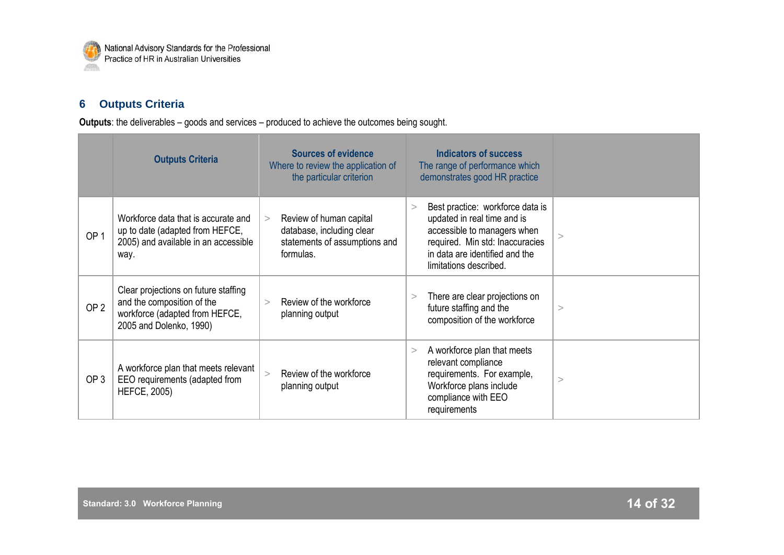

## **6 Outputs Criteria**

**Outputs**: the deliverables – goods and services – produced to achieve the outcomes being sought.

|                 | <b>Outputs Criteria</b>                                                                                                         | <b>Sources of evidence</b><br>Where to review the application of<br>the particular criterion            | <b>Indicators of success</b><br>The range of performance which<br>demonstrates good HR practice                                                                                                         |          |
|-----------------|---------------------------------------------------------------------------------------------------------------------------------|---------------------------------------------------------------------------------------------------------|---------------------------------------------------------------------------------------------------------------------------------------------------------------------------------------------------------|----------|
| OP <sub>1</sub> | Workforce data that is accurate and<br>up to date (adapted from HEFCE,<br>2005) and available in an accessible<br>way.          | Review of human capital<br>><br>database, including clear<br>statements of assumptions and<br>formulas. | Best practice: workforce data is<br>$\geq$<br>updated in real time and is<br>accessible to managers when<br>required. Min std: Inaccuracies<br>in data are identified and the<br>limitations described. | >        |
| OP <sub>2</sub> | Clear projections on future staffing<br>and the composition of the<br>workforce (adapted from HEFCE,<br>2005 and Dolenko, 1990) | Review of the workforce<br>><br>planning output                                                         | There are clear projections on<br>><br>future staffing and the<br>composition of the workforce                                                                                                          | >        |
| OP <sub>3</sub> | A workforce plan that meets relevant<br>EEO requirements (adapted from<br><b>HEFCE, 2005)</b>                                   | Review of the workforce<br>$\geq$<br>planning output                                                    | A workforce plan that meets<br>><br>relevant compliance<br>requirements. For example,<br>Workforce plans include<br>compliance with EEO<br>requirements                                                 | $\rm{>}$ |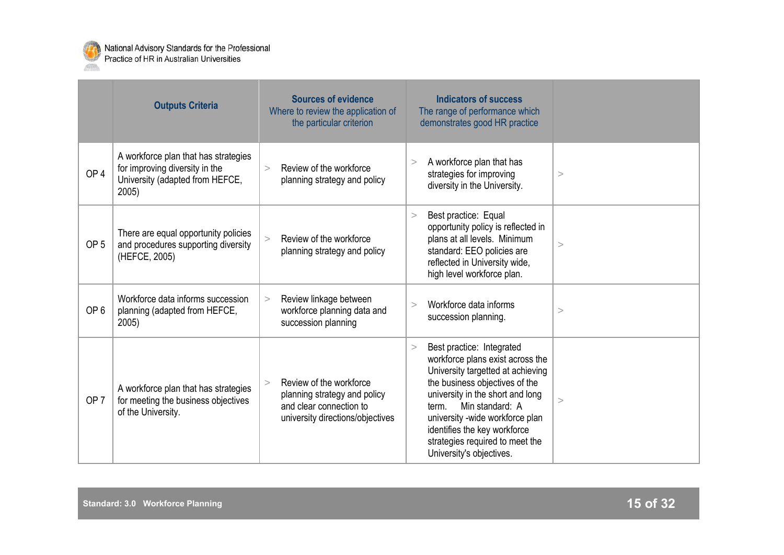

|                 | <b>Outputs Criteria</b>                                                                                            | <b>Sources of evidence</b><br>Where to review the application of<br>the particular criterion                                     | <b>Indicators of success</b><br>The range of performance which<br>demonstrates good HR practice                                                                                                                                                                                                                                             |          |
|-----------------|--------------------------------------------------------------------------------------------------------------------|----------------------------------------------------------------------------------------------------------------------------------|---------------------------------------------------------------------------------------------------------------------------------------------------------------------------------------------------------------------------------------------------------------------------------------------------------------------------------------------|----------|
| OP <sub>4</sub> | A workforce plan that has strategies<br>for improving diversity in the<br>University (adapted from HEFCE,<br>2005) | Review of the workforce<br>$\geq$<br>planning strategy and policy                                                                | A workforce plan that has<br>><br>strategies for improving<br>diversity in the University.                                                                                                                                                                                                                                                  | >        |
| OP <sub>5</sub> | There are equal opportunity policies<br>and procedures supporting diversity<br>(HEFCE, 2005)                       | Review of the workforce<br>$\geq$<br>planning strategy and policy                                                                | Best practice: Equal<br>><br>opportunity policy is reflected in<br>plans at all levels. Minimum<br>standard: EEO policies are<br>reflected in University wide,<br>high level workforce plan.                                                                                                                                                | >        |
| OP <sub>6</sub> | Workforce data informs succession<br>planning (adapted from HEFCE,<br>2005)                                        | Review linkage between<br>><br>workforce planning data and<br>succession planning                                                | Workforce data informs<br>$\geq$<br>succession planning.                                                                                                                                                                                                                                                                                    | >        |
| OP <sub>7</sub> | A workforce plan that has strategies<br>for meeting the business objectives<br>of the University.                  | Review of the workforce<br>$\geq$<br>planning strategy and policy<br>and clear connection to<br>university directions/objectives | Best practice: Integrated<br>><br>workforce plans exist across the<br>University targetted at achieving<br>the business objectives of the<br>university in the short and long<br>Min standard: A<br>term.<br>university -wide workforce plan<br>identifies the key workforce<br>strategies required to meet the<br>University's objectives. | $\rm{>}$ |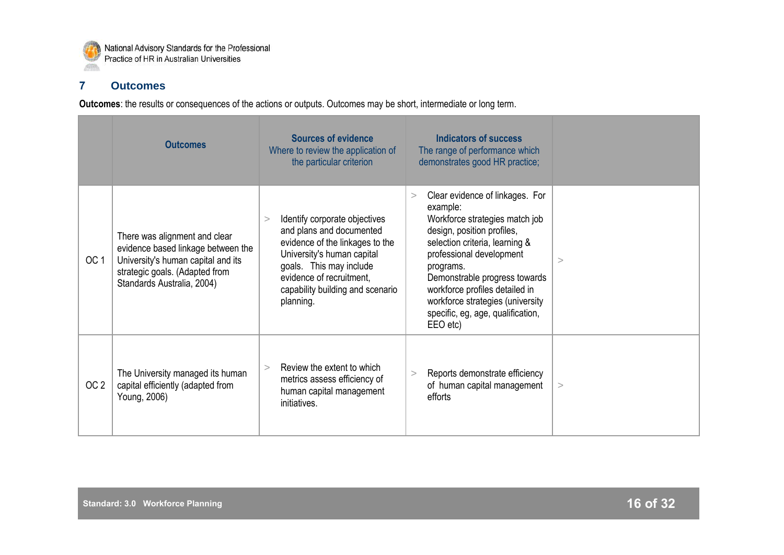

## **7 Outcomes**

**Outcomes**: the results or consequences of the actions or outputs. Outcomes may be short, intermediate or long term.

|                 | <b>Outcomes</b>                                                                                                                                                           | <b>Sources of evidence</b><br>Where to review the application of<br>the particular criterion                                                                                                                                            | <b>Indicators of success</b><br>The range of performance which<br>demonstrates good HR practice;                                                                                                                                                                                                                                                    |          |
|-----------------|---------------------------------------------------------------------------------------------------------------------------------------------------------------------------|-----------------------------------------------------------------------------------------------------------------------------------------------------------------------------------------------------------------------------------------|-----------------------------------------------------------------------------------------------------------------------------------------------------------------------------------------------------------------------------------------------------------------------------------------------------------------------------------------------------|----------|
| OC <sub>1</sub> | There was alignment and clear<br>evidence based linkage between the<br>University's human capital and its<br>strategic goals. (Adapted from<br>Standards Australia, 2004) | Identify corporate objectives<br>><br>and plans and documented<br>evidence of the linkages to the<br>University's human capital<br>goals. This may include<br>evidence of recruitment,<br>capability building and scenario<br>planning. | Clear evidence of linkages. For<br>><br>example:<br>Workforce strategies match job<br>design, position profiles,<br>selection criteria, learning &<br>professional development<br>programs.<br>Demonstrable progress towards<br>workforce profiles detailed in<br>workforce strategies (university<br>specific, eg, age, qualification,<br>EEO etc) | $\rm{>}$ |
| OC <sub>2</sub> | The University managed its human<br>capital efficiently (adapted from<br>Young, 2006)                                                                                     | Review the extent to which<br>><br>metrics assess efficiency of<br>human capital management<br>initiatives.                                                                                                                             | Reports demonstrate efficiency<br>><br>of human capital management<br>efforts                                                                                                                                                                                                                                                                       | >        |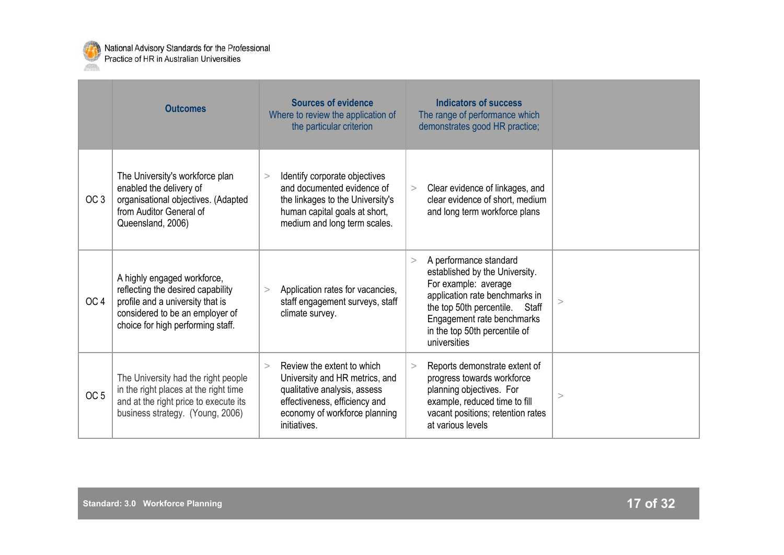

|                 | <b>Outcomes</b>                                                                                                                                                              | <b>Sources of evidence</b><br>Where to review the application of<br>the particular criterion                                                                                             | <b>Indicators of success</b><br>The range of performance which<br>demonstrates good HR practice;                                                                                                                                                 |          |
|-----------------|------------------------------------------------------------------------------------------------------------------------------------------------------------------------------|------------------------------------------------------------------------------------------------------------------------------------------------------------------------------------------|--------------------------------------------------------------------------------------------------------------------------------------------------------------------------------------------------------------------------------------------------|----------|
| OC <sub>3</sub> | The University's workforce plan<br>enabled the delivery of<br>organisational objectives. (Adapted<br>from Auditor General of<br>Queensland, 2006)                            | Identify corporate objectives<br>$\geq$<br>and documented evidence of<br>the linkages to the University's<br>human capital goals at short,<br>medium and long term scales.               | Clear evidence of linkages, and<br>><br>clear evidence of short, medium<br>and long term workforce plans                                                                                                                                         |          |
| OC <sub>4</sub> | A highly engaged workforce,<br>reflecting the desired capability<br>profile and a university that is<br>considered to be an employer of<br>choice for high performing staff. | Application rates for vacancies,<br>$\geq$<br>staff engagement surveys, staff<br>climate survey.                                                                                         | A performance standard<br>$\geq$<br>established by the University.<br>For example: average<br>application rate benchmarks in<br>the top 50th percentile.<br>Staff<br>Engagement rate benchmarks<br>in the top 50th percentile of<br>universities |          |
| OC <sub>5</sub> | The University had the right people<br>in the right places at the right time<br>and at the right price to execute its<br>business strategy. (Young, 2006)                    | Review the extent to which<br>$\geq$<br>University and HR metrics, and<br>qualitative analysis, assess<br>effectiveness, efficiency and<br>economy of workforce planning<br>initiatives. | Reports demonstrate extent of<br>$\geq$<br>progress towards workforce<br>planning objectives. For<br>example, reduced time to fill<br>vacant positions; retention rates<br>at various levels                                                     | $\rm{~}$ |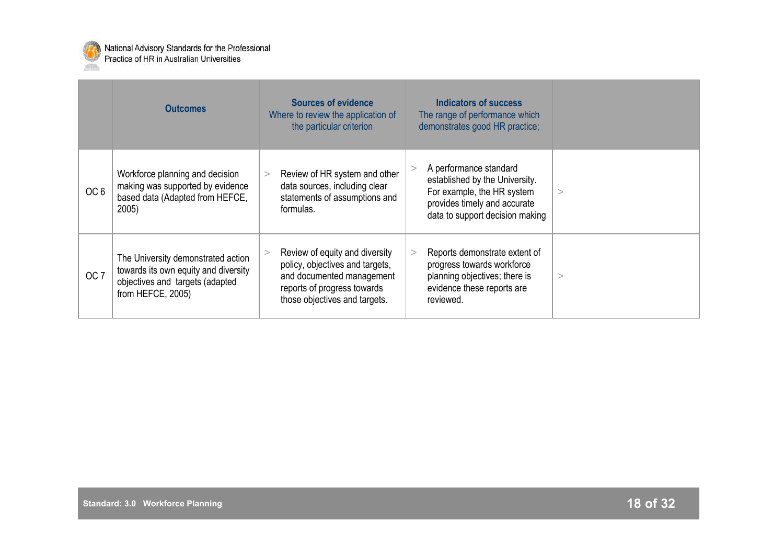

|                 | <b>Outcomes</b>                                                                                                                    | <b>Sources of evidence</b><br>Where to review the application of<br>the particular criterion                                                                   | Indicators of success<br>The range of performance which<br>demonstrates good HR practice;                                                                 |          |
|-----------------|------------------------------------------------------------------------------------------------------------------------------------|----------------------------------------------------------------------------------------------------------------------------------------------------------------|-----------------------------------------------------------------------------------------------------------------------------------------------------------|----------|
| OC <sub>6</sub> | Workforce planning and decision<br>making was supported by evidence<br>based data (Adapted from HEFCE,<br>$2005$ )                 | Review of HR system and other<br>><br>data sources, including clear<br>statements of assumptions and<br>formulas.                                              | A performance standard<br>established by the University.<br>For example, the HR system<br>provides timely and accurate<br>data to support decision making | $\rm{>}$ |
| OC <sub>7</sub> | The University demonstrated action<br>towards its own equity and diversity<br>objectives and targets (adapted<br>from HEFCE, 2005) | Review of equity and diversity<br>policy, objectives and targets,<br>and documented management<br>reports of progress towards<br>those objectives and targets. | Reports demonstrate extent of<br>><br>progress towards workforce<br>planning objectives; there is<br>evidence these reports are<br>reviewed.              | >        |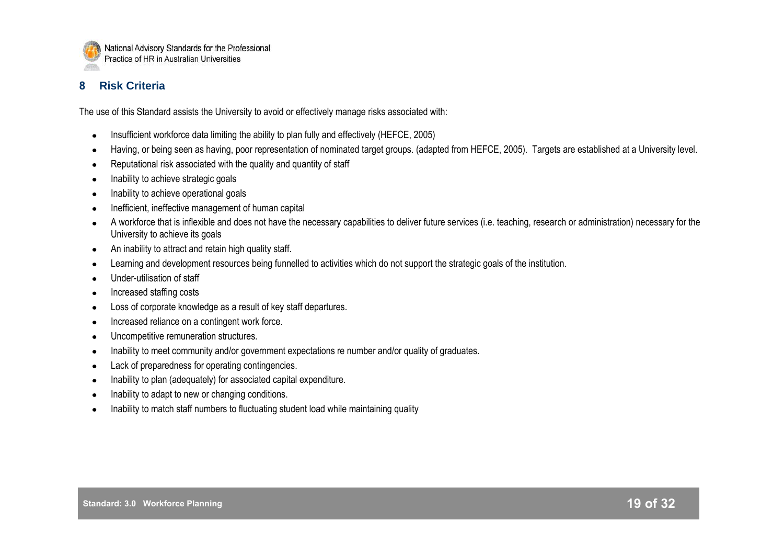

## **8 Risk Criteria**

The use of this Standard assists the University to avoid or effectively manage risks associated with:

- Insufficient workforce data limiting the ability to plan fully and effectively (HEFCE, 2005)
- Having, or being seen as having, poor representation of nominated target groups. (adapted from HEFCE, 2005). Targets are established at a University level.
- Reputational risk associated with the quality and quantity of staff
- Inability to achieve strategic goals
- Inability to achieve operational goals
- Inefficient, ineffective management of human capital
- A workforce that is inflexible and does not have the necessary capabilities to deliver future services (i.e. teaching, research or administration) necessary for the University to achieve its goals
- An inability to attract and retain high quality staff.
- Learning and development resources being funnelled to activities which do not support the strategic goals of the institution.
- Under-utilisation of staff
- Increased staffing costs
- Loss of corporate knowledge as a result of key staff departures.
- Increased reliance on a contingent work force.
- Uncompetitive remuneration structures.
- Inability to meet community and/or government expectations re number and/or quality of graduates.
- Lack of preparedness for operating contingencies.
- Inability to plan (adequately) for associated capital expenditure.
- Inability to adapt to new or changing conditions.
- Inability to match staff numbers to fluctuating student load while maintaining quality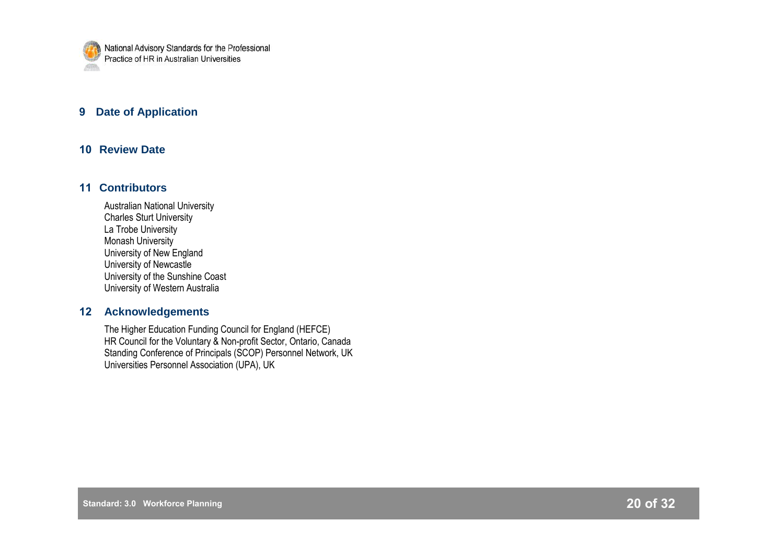

## **9 Date of Application**

## **10 Review Date**

## **11 Contributors**

Australian National University Charles Sturt University La Trobe University Monash University University of New England University of Newcastle University of the Sunshine Coast University of Western Australia

## **12 Acknowledgements**

The Higher Education Funding Council for England (HEFCE) HR Council for the Voluntary & Non-profit Sector, Ontario, Canada Standing Conference of Principals (SCOP) Personnel Network, UK Universities Personnel Association (UPA), UK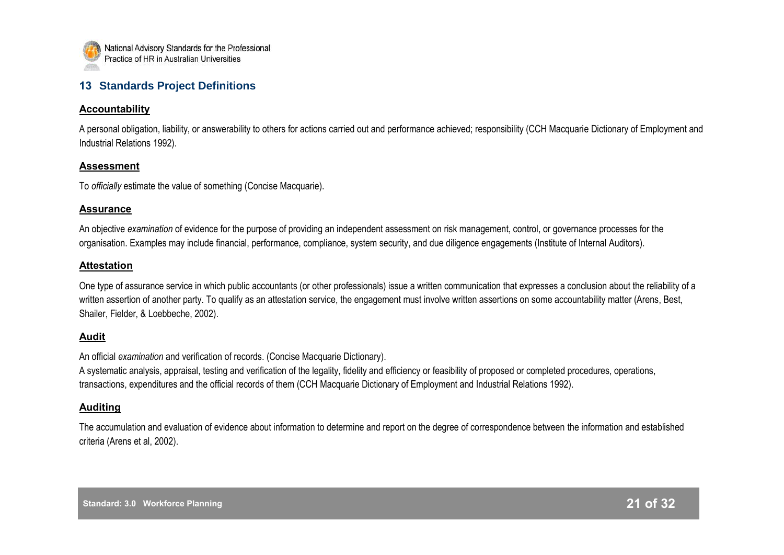

## **13 Standards Project Definitions**

#### **Accountability**

A personal obligation, liability, or answerability to others for actions carried out and performance achieved; responsibility (CCH Macquarie Dictionary of Employment and Industrial Relations 1992).

#### **Assessment**

To *officially* estimate the value of something (Concise Macquarie).

#### **Assurance**

An objective *examination* of evidence for the purpose of providing an independent assessment on risk management, control, or governance processes for the organisation. Examples may include financial, performance, compliance, system security, and due diligence engagements (Institute of Internal Auditors).

## **Attestation**

One type of assurance service in which public accountants (or other professionals) issue a written communication that expresses a conclusion about the reliability of a written assertion of another party. To qualify as an attestation service, the engagement must involve written assertions on some accountability matter (Arens, Best, Shailer, Fielder, & Loebbeche, 2002).

## **Audit**

An official *examination* and verification of records. (Concise Macquarie Dictionary).

A systematic analysis, appraisal, testing and verification of the legality, fidelity and efficiency or feasibility of proposed or completed procedures, operations, transactions, expenditures and the official records of them (CCH Macquarie Dictionary of Employment and Industrial Relations 1992).

## **Auditing**

The accumulation and evaluation of evidence about information to determine and report on the degree of correspondence between the information and established criteria (Arens et al, 2002).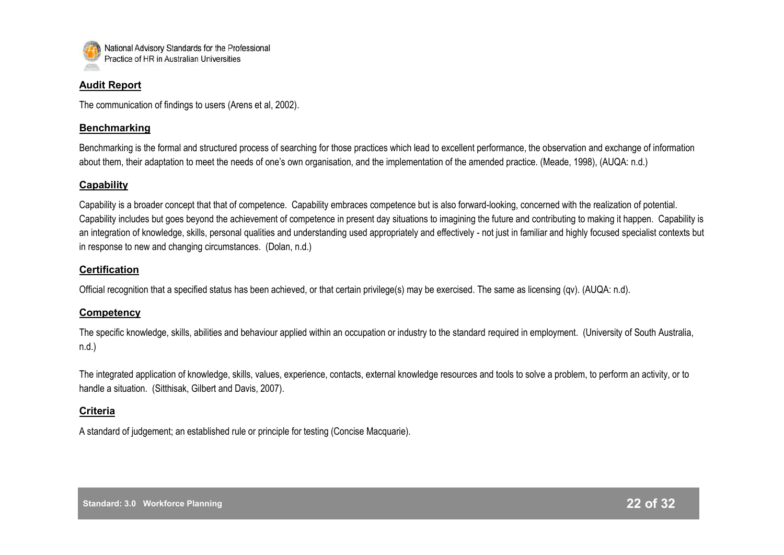

#### **Audit Report**

The communication of findings to users (Arens et al, 2002).

## **Benchmarking**

Benchmarking is the formal and structured process of searching for those practices which lead to excellent performance, the observation and exchange of information about them, their adaptation to meet the needs of one"s own organisation, and the implementation of the amended practice. (Meade, 1998), (AUQA: n.d.)

#### **Capability**

Capability is a broader concept that that of competence. Capability embraces competence but is also forward-looking, concerned with the realization of potential. Capability includes but goes beyond the achievement of competence in present day situations to imagining the future and contributing to making it happen. Capability is an integration of knowledge, skills, personal qualities and understanding used appropriately and effectively - not just in familiar and highly focused specialist contexts but in response to new and changing circumstances. (Dolan, n.d.)

## **Certification**

Official recognition that a specified status has been achieved, or that certain privilege(s) may be exercised. The same as licensing (qv). (AUQA: n.d).

## **Competency**

The specific knowledge, skills, abilities and behaviour applied within an occupation or industry to the standard required in employment. (University of South Australia, n.d.)

The integrated application of knowledge, skills, values, experience, contacts, external knowledge resources and tools to solve a problem, to perform an activity, or to handle a situation. (Sitthisak, Gilbert and Davis, 2007).

## **Criteria**

A standard of judgement; an established rule or principle for testing (Concise Macquarie).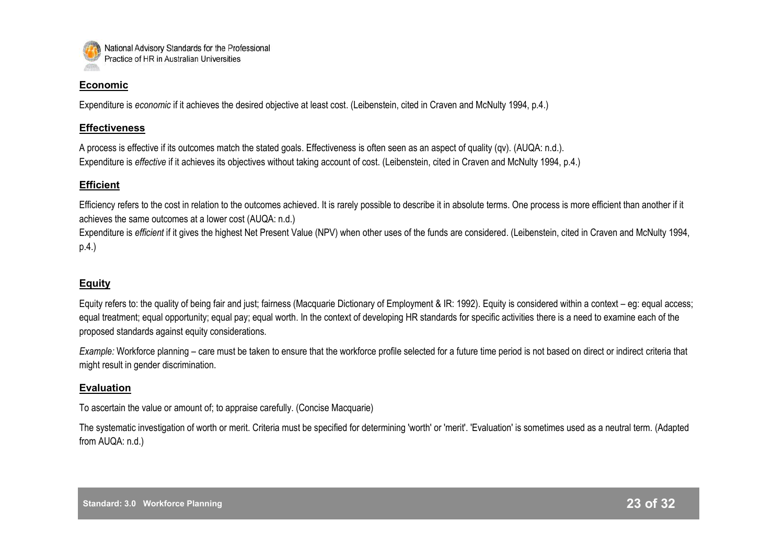

#### **Economic**

Expenditure is *economic* if it achieves the desired objective at least cost. (Leibenstein, cited in Craven and McNulty 1994, p.4.)

## **Effectiveness**

A process is effective if its outcomes match the stated goals. Effectiveness is often seen as an aspect of quality (qv). (AUQA: n.d.). Expenditure is *effective* if it achieves its objectives without taking account of cost. (Leibenstein, cited in Craven and McNulty 1994, p.4.)

## **Efficient**

Efficiency refers to the cost in relation to the outcomes achieved. It is rarely possible to describe it in absolute terms. One process is more efficient than another if it achieves the same outcomes at a lower cost (AUQA: n.d.)

Expenditure is *efficient* if it gives the highest Net Present Value (NPV) when other uses of the funds are considered. (Leibenstein, cited in Craven and McNulty 1994, p.4.)

## **Equity**

Equity refers to: the quality of being fair and just; fairness (Macquarie Dictionary of Employment & IR: 1992). Equity is considered within a context – eg: equal access; equal treatment; equal opportunity; equal pay; equal worth. In the context of developing HR standards for specific activities there is a need to examine each of the proposed standards against equity considerations.

*Example:* Workforce planning – care must be taken to ensure that the workforce profile selected for a future time period is not based on direct or indirect criteria that might result in gender discrimination.

## **Evaluation**

To ascertain the value or amount of; to appraise carefully. (Concise Macquarie)

The systematic investigation of worth or merit. Criteria must be specified for determining 'worth' or 'merit'. 'Evaluation' is sometimes used as a neutral term. (Adapted from AUQA: n.d.)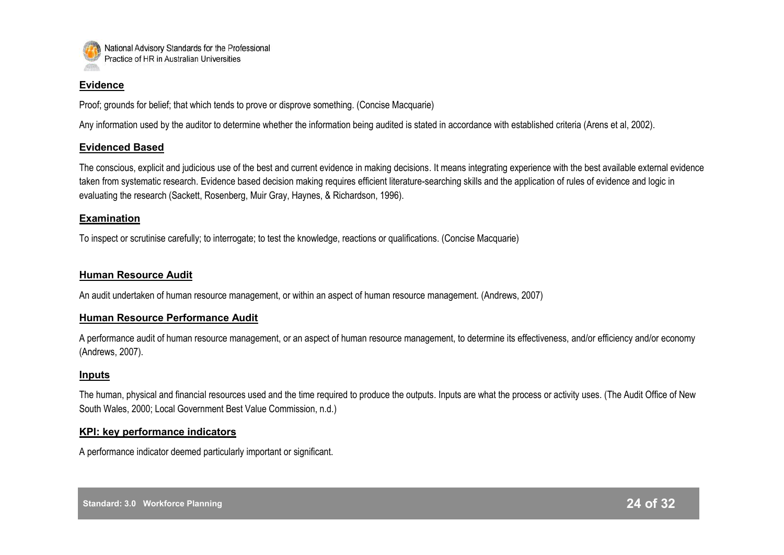

#### **Evidence**

Proof; grounds for belief; that which tends to prove or disprove something. (Concise Macquarie)

Any information used by the auditor to determine whether the information being audited is stated in accordance with established criteria (Arens et al, 2002).

## **Evidenced Based**

The conscious, explicit and judicious use of the best and current evidence in making decisions. It means integrating experience with the best available external evidence taken from systematic research. Evidence based decision making requires efficient literature-searching skills and the application of rules of evidence and logic in evaluating the research (Sackett, Rosenberg, Muir Gray, Haynes, & Richardson, 1996).

## **Examination**

To inspect or scrutinise carefully; to interrogate; to test the knowledge, reactions or qualifications. (Concise Macquarie)

## **Human Resource Audit**

An audit undertaken of human resource management, or within an aspect of human resource management. (Andrews, 2007)

## **Human Resource Performance Audit**

A performance audit of human resource management, or an aspect of human resource management, to determine its effectiveness, and/or efficiency and/or economy (Andrews, 2007).

## **Inputs**

The human, physical and financial resources used and the time required to produce the outputs. Inputs are what the process or activity uses. (The Audit Office of New South Wales, 2000; Local Government Best Value Commission, n.d.)

## **KPI: key performance indicators**

A performance indicator deemed particularly important or significant.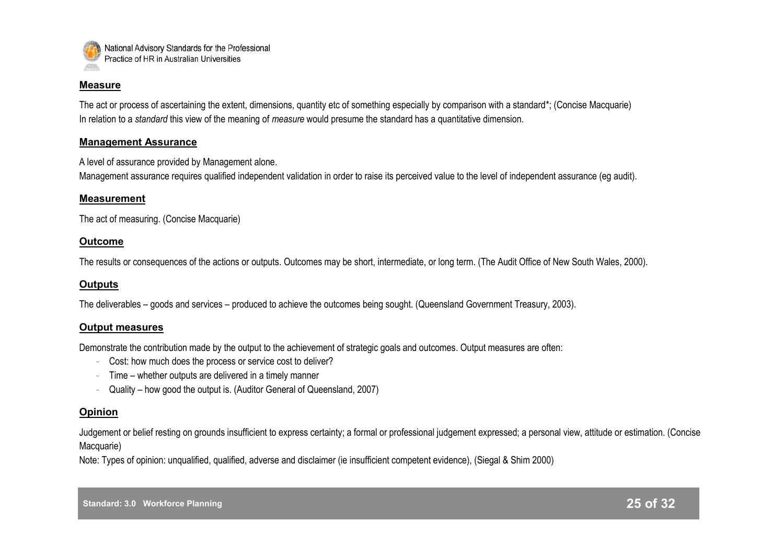

#### **Measure**

The act or process of ascertaining the extent, dimensions, quantity etc of something especially by comparison with a standard\*; (Concise Macquarie) In relation to a *standard* this view of the meaning of *measure* would presume the standard has a quantitative dimension.

#### **Management Assurance**

A level of assurance provided by Management alone.

Management assurance requires qualified independent validation in order to raise its perceived value to the level of independent assurance (eg audit).

#### **Measurement**

The act of measuring. (Concise Macquarie)

#### **Outcome**

The results or consequences of the actions or outputs. Outcomes may be short, intermediate, or long term. (The Audit Office of New South Wales, 2000).

## **Outputs**

The deliverables – goods and services – produced to achieve the outcomes being sought. (Queensland Government Treasury, 2003).

#### **Output measures**

Demonstrate the contribution made by the output to the achievement of strategic goals and outcomes. Output measures are often:

- Cost: how much does the process or service cost to deliver?
- Time whether outputs are delivered in a timely manner
- Quality how good the output is. (Auditor General of Queensland, 2007)

## **Opinion**

Judgement or belief resting on grounds insufficient to express certainty; a formal or professional judgement expressed; a personal view, attitude or estimation. (Concise Macquarie)

Note: Types of opinion: unqualified, qualified, adverse and disclaimer (ie insufficient competent evidence), (Siegal & Shim 2000)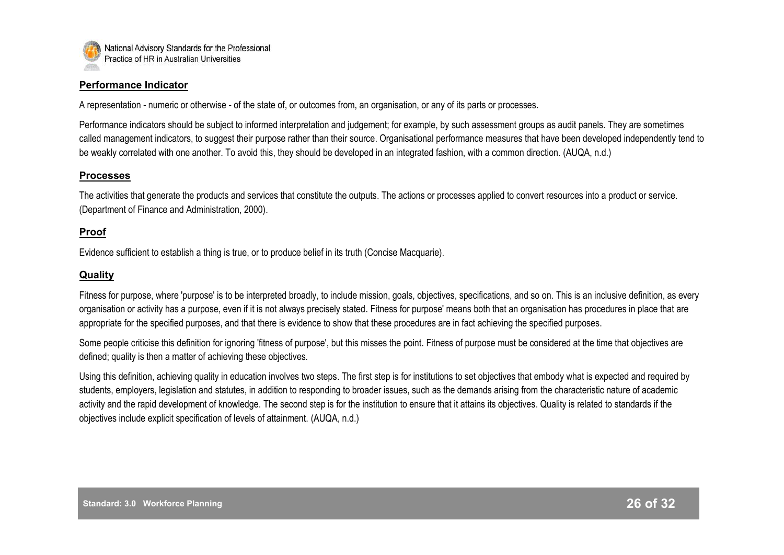

#### **Performance Indicator**

A representation - numeric or otherwise - of the state of, or outcomes from, an organisation, or any of its parts or processes.

Performance indicators should be subject to informed interpretation and judgement; for example, by such assessment groups as audit panels. They are sometimes called management indicators, to suggest their purpose rather than their source. Organisational performance measures that have been developed independently tend to be weakly correlated with one another. To avoid this, they should be developed in an integrated fashion, with a common direction. (AUQA, n.d.)

## **Processes**

The activities that generate the products and services that constitute the outputs. The actions or processes applied to convert resources into a product or service. (Department of Finance and Administration, 2000).

## **Proof**

Evidence sufficient to establish a thing is true, or to produce belief in its truth (Concise Macquarie).

## **Quality**

Fitness for purpose, where 'purpose' is to be interpreted broadly, to include mission, goals, objectives, specifications, and so on. This is an inclusive definition, as every organisation or activity has a purpose, even if it is not always precisely stated. Fitness for purpose' means both that an organisation has procedures in place that are appropriate for the specified purposes, and that there is evidence to show that these procedures are in fact achieving the specified purposes.

Some people criticise this definition for ignoring 'fitness of purpose', but this misses the point. Fitness of purpose must be considered at the time that objectives are defined; quality is then a matter of achieving these objectives.

Using this definition, achieving quality in education involves two steps. The first step is for institutions to set objectives that embody what is expected and required by students, employers, legislation and statutes, in addition to responding to broader issues, such as the demands arising from the characteristic nature of academic activity and the rapid development of knowledge. The second step is for the institution to ensure that it attains its objectives. Quality is related to standards if the objectives include explicit specification of levels of attainment. (AUQA, n.d.)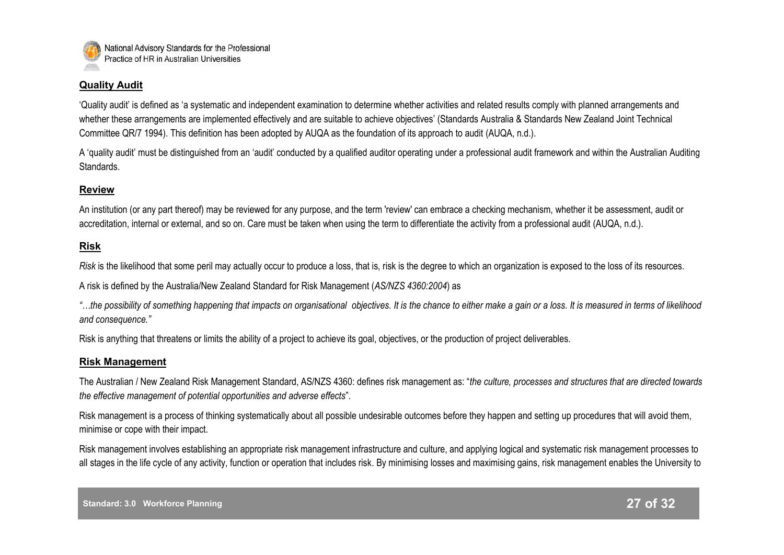

## **Quality Audit**

"Quality audit" is defined as "a systematic and independent examination to determine whether activities and related results comply with planned arrangements and whether these arrangements are implemented effectively and are suitable to achieve objectives' (Standards Australia & Standards New Zealand Joint Technical Committee QR/7 1994). This definition has been adopted by AUQA as the foundation of its approach to audit (AUQA, n.d.).

A "quality audit" must be distinguished from an "audit" conducted by a qualified auditor operating under a professional audit framework and within the Australian Auditing Standards.

## **Review**

An institution (or any part thereof) may be reviewed for any purpose, and the term 'review' can embrace a checking mechanism, whether it be assessment, audit or accreditation, internal or external, and so on. Care must be taken when using the term to differentiate the activity from a professional audit (AUQA, n.d.).

#### **Risk**

*Risk* is the likelihood that some peril may actually occur to produce a loss, that is, risk is the degree to which an organization is exposed to the loss of its resources.

A risk is defined by the Australia/New Zealand Standard for Risk Management (*AS/NZS 4360:2004*) as

*"…the possibility of something happening that impacts on organisational objectives. It is the chance to either make a gain or a loss. It is measured in terms of likelihood and consequence."*

Risk is anything that threatens or limits the ability of a project to achieve its goal, objectives, or the production of project deliverables.

#### **Risk Management**

The Australian / New Zealand Risk Management Standard, AS/NZS 4360: defines risk management as: "*the culture, processes and structures that are directed towards the effective management of potential opportunities and adverse effects*".

Risk management is a process of thinking systematically about all possible undesirable outcomes before they happen and setting up procedures that will avoid them, minimise or cope with their impact.

Risk management involves establishing an appropriate risk management infrastructure and culture, and applying logical and systematic risk management processes to all stages in the life cycle of any activity, function or operation that includes risk. By minimising losses and maximising gains, risk management enables the University to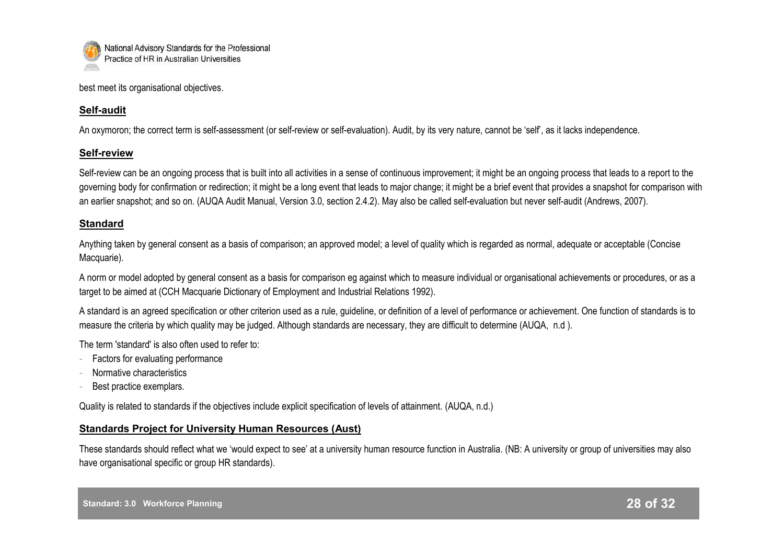

best meet its organisational objectives.

## **Self-audit**

An oxymoron; the correct term is self-assessment (or self-review or self-evaluation). Audit, by its very nature, cannot be 'self', as it lacks independence.

## **Self-review**

Self-review can be an ongoing process that is built into all activities in a sense of continuous improvement; it might be an ongoing process that leads to a report to the governing body for confirmation or redirection; it might be a long event that leads to major change; it might be a brief event that provides a snapshot for comparison with an earlier snapshot; and so on. (AUQA Audit Manual, Version 3.0, section 2.4.2). May also be called self-evaluation but never self-audit (Andrews, 2007).

## **Standard**

Anything taken by general consent as a basis of comparison; an approved model; a level of quality which is regarded as normal, adequate or acceptable (Concise Macquarie).

A norm or model adopted by general consent as a basis for comparison eg against which to measure individual or organisational achievements or procedures, or as a target to be aimed at (CCH Macquarie Dictionary of Employment and Industrial Relations 1992).

A standard is an agreed specification or other criterion used as a rule, guideline, or definition of a level of performance or achievement. One function of standards is to measure the criteria by which quality may be judged. Although standards are necessary, they are difficult to determine (AUQA, n.d ).

The term 'standard' is also often used to refer to:

- Factors for evaluating performance
- Normative characteristics
- Best practice exemplars.

Quality is related to standards if the objectives include explicit specification of levels of attainment. (AUQA, n.d.)

## **Standards Project for University Human Resources (Aust)**

These standards should reflect what we "would expect to see" at a university human resource function in Australia. (NB: A university or group of universities may also have organisational specific or group HR standards).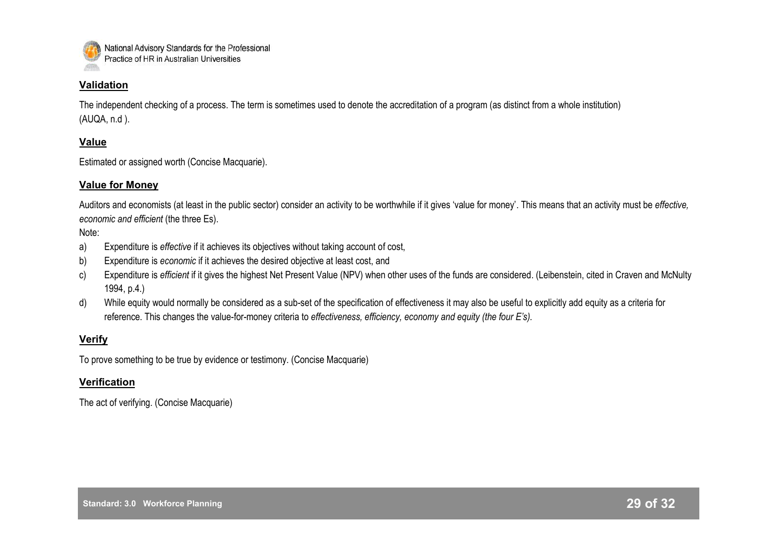

## **Validation**

The independent checking of a process. The term is sometimes used to denote the accreditation of a program (as distinct from a whole institution) (AUQA, n.d ).

## **Value**

Estimated or assigned worth (Concise Macquarie).

## **Value for Money**

Auditors and economists (at least in the public sector) consider an activity to be worthwhile if it gives "value for money". This means that an activity must be *effective, economic and efficient* (the three Es).

#### Note:

- a) Expenditure is *effective* if it achieves its objectives without taking account of cost,
- b) Expenditure is *economic* if it achieves the desired objective at least cost, and
- c) Expenditure is *efficient* if it gives the highest Net Present Value (NPV) when other uses of the funds are considered. (Leibenstein, cited in Craven and McNulty 1994, p.4.)
- d) While equity would normally be considered as a sub-set of the specification of effectiveness it may also be useful to explicitly add equity as a criteria for reference. This changes the value-for-money criteria to *effectiveness, efficiency, economy and equity (the four E's).*

## **Verify**

To prove something to be true by evidence or testimony. (Concise Macquarie)

## **Verification**

The act of verifying. (Concise Macquarie)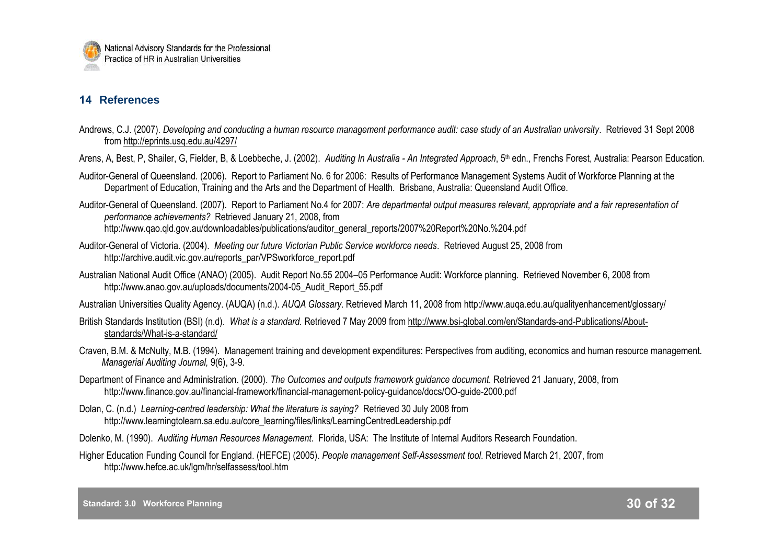## **14 References**

- Andrews, C.J. (2007). *Developing and conducting a human resource management performance audit: case study of an Australian university*. Retrieved 31 Sept 2008 from <http://eprints.usq.edu.au/4297/>
- Arens, A, Best, P, Shailer, G, Fielder, B, & Loebbeche, J. (2002). *Auditing In Australia An Integrated Approach*, 5<sup>th</sup> edn., Frenchs Forest, Australia: Pearson Education.
- Auditor-General of Queensland. (2006). Report to Parliament No. 6 for 2006: Results of Performance Management Systems Audit of Workforce Planning at the Department of Education, Training and the Arts and the Department of Health. Brisbane, Australia: Queensland Audit Office.
- Auditor-General of Queensland. (2007). Report to Parliament No.4 for 2007: *Are departmental output measures relevant, appropriate and a fair representation of performance achievements?* Retrieved January 21, 2008, from http://www.qao.qld.gov.au/downloadables/publications/auditor\_general\_reports/2007%20Report%20No.%204.pdf
- Auditor-General of Victoria. (2004). *Meeting our future Victorian Public Service workforce needs*. Retrieved August 25, 2008 from http://archive.audit.vic.gov.au/reports\_par/VPSworkforce\_report.pdf
- Australian National Audit Office (ANAO) (2005). Audit Report No.55 2004–05 Performance Audit: Workforce planning. Retrieved November 6, 2008 from http://www.anao.gov.au/uploads/documents/2004-05\_Audit\_Report\_55.pdf
- Australian Universities Quality Agency. (AUQA) (n.d.). *AUQA Glossary*. Retrieved March 11, 2008 from http://www.auqa.edu.au/qualityenhancement/glossary/
- British Standards Institution (BSI) (n.d). *What is a standard.* Retrieved 7 May 2009 from http://www.bsi-global.com/en/Standards-and-Publications/Aboutstandards/What-is-a-standard/
- Craven, B.M. & McNulty, M.B. (1994). Management training and development expenditures: Perspectives from auditing, economics and human resource management. *Managerial Auditing Journal,* 9(6), 3-9.
- Department of Finance and Administration. (2000). *The Outcomes and outputs framework guidance document.* Retrieved 21 January, 2008, from http://www.finance.gov.au/financial-framework/financial-management-policy-guidance/docs/OO-guide-2000.pdf
- Dolan, C. (n.d.) *Learning-centred leadership: What the literature is saying?* Retrieved 30 July 2008 from http://www.learningtolearn.sa.edu.au/core\_learning/files/links/LearningCentredLeadership.pdf
- Dolenko, M. (1990). *Auditing Human Resources Management*. Florida, USA: The Institute of Internal Auditors Research Foundation.
- Higher Education Funding Council for England. (HEFCE) (2005). *People management Self-Assessment tool*. Retrieved March 21, 2007, from http://www.hefce.ac.uk/lgm/hr/selfassess/tool.htm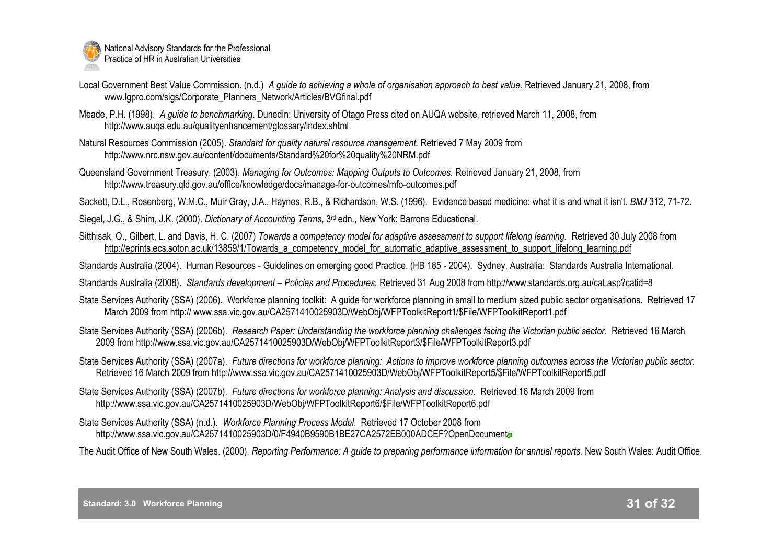

- Local Government Best Value Commission. (n.d.) A *quide to achieving a whole of organisation approach to best value.* Retrieved January 21, 2008, from www.lgpro.com/sigs/Corporate\_Planners\_Network/Articles/BVGfinal.pdf
- Meade, P.H. (1998). *A guide to benchmarking*. Dunedin: University of Otago Press cited on AUQA website, retrieved March 11, 2008, from http://www.auqa.edu.au/qualityenhancement/glossary/index.shtml
- Natural Resources Commission (2005). *Standard for quality natural resource management.* Retrieved 7 May 2009 from http://www.nrc.nsw.gov.au/content/documents/Standard%20for%20quality%20NRM.pdf
- Queensland Government Treasury. (2003). *Managing for Outcomes: Mapping Outputs to Outcomes.* Retrieved January 21, 2008, from http://www.treasury.qld.gov.au/office/knowledge/docs/manage-for-outcomes/mfo-outcomes.pdf
- Sackett, D.L., Rosenberg, W.M.C., Muir Gray, J.A., Haynes, R.B., & Richardson, W.S. (1996). Evidence based medicine: what it is and what it isn't. *BMJ* 312, 71-72.
- Siegel, J.G., & Shim, J.K. (2000). *Dictionary of Accounting Terms*, 3rd edn., New York: Barrons Educational.
- Sitthisak, O., Gilbert, L. and Davis, H. C. (2007) *Towards a competency model for adaptive assessment to support lifelong learning.* Retrieved 30 July 2008 from [http://eprints.ecs.soton.ac.uk/13859/1/Towards\\_a\\_competency\\_model\\_for\\_automatic\\_adaptive\\_assessment\\_to\\_support\\_lifelong\\_learning.pdf](http://eprints.ecs.soton.ac.uk/13859/1/Towards_a_competency_model_for_automatic_adaptive_assessment_to_support_lifelong_learning.pdf)
- Standards Australia (2004). Human Resources Guidelines on emerging good Practice. (HB 185 2004). Sydney, Australia: Standards Australia International.
- Standards Australia (2008). *Standards development – Policies and Procedures.* Retrieved 31 Aug 2008 from http://www.standards.org.au/cat.asp?catid=8
- [State Services Authority \(SSA\) \(2006\). Workforce planning toolkit: A guide for workforce planning in small to medium sized public sector organisations. Retrieved 17](http://)  [March 2009 from http:// www.ssa.vic.gov.au/CA2571410025903D/WebObj/WFPToolkitReport1/\\$File/WFPToolkitReport1.pdf](http://)
- State Services Authority (SSA) (2006b). *Research Paper: Understanding the workforce planning challenges facing the Victorian public sector*. Retrieved 16 March 2009 from [http://www.ssa.vic.gov.au/CA2571410025903D/WebObj/WFPToolkitReport3/\\$File/WFPToolkitReport3.pdf](http://www.ssa.vic.gov.au/CA2571410025903D/WebObj/WFPToolkitReport3/$File/WFPToolkitReport3.pdf)
- State Services Authority (SSA) (2007a). *Future directions for workforce planning: Actions to improve workforce planning outcomes across the Victorian public sector.* Retrieved 16 March 2009 from http://www.ssa.vic.gov.au/CA2571410025903D/WebObj/WFPToolkitReport5/\$File/WFPToolkitReport5.pdf
- State Services Authority (SSA) (2007b). *Future directions for workforce planning: Analysis and discussion.* Retrieved 16 March 2009 from http://www.ssa.vic.gov.au/CA2571410025903D/WebObj/WFPToolkitReport6/\$File/WFPToolkitReport6.pdf
- State Services Authority (SSA) (n.d.). *Workforce Planning Process Model*. Retrieved 17 October 2008 from <http://www.ssa.vic.gov.au/CA2571410025903D/0/F4940B9590B1BE27CA2572EB000ADCEF?OpenDocument>
- The Audit Office of New South Wales. (2000). *Reporting Performance: A guide to preparing performance information for annual reports.* New South Wales: Audit Office.